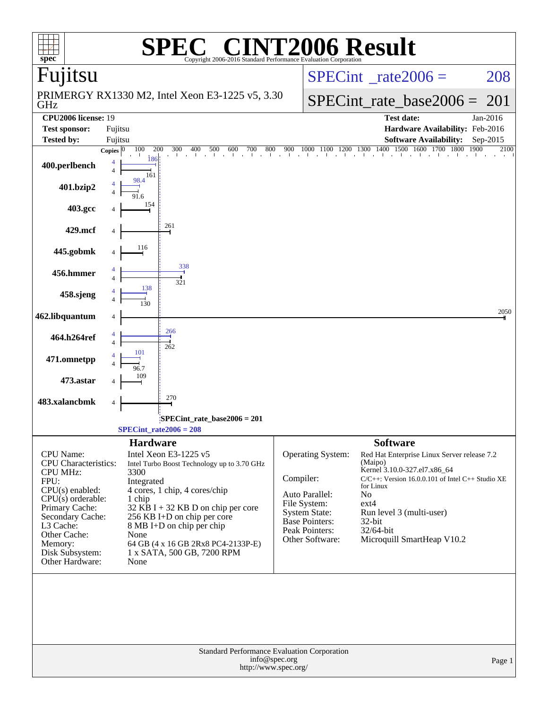|                                                                                                                                                                                                                            |                    |                                                                 | $\bigwedge$                                                                                                                                                                                                                                                                   |               |                                                                                                                                           | <b>NT2006 Result</b>                                                                                                                                                                                                                                                                                                                                                                                  |          |
|----------------------------------------------------------------------------------------------------------------------------------------------------------------------------------------------------------------------------|--------------------|-----------------------------------------------------------------|-------------------------------------------------------------------------------------------------------------------------------------------------------------------------------------------------------------------------------------------------------------------------------|---------------|-------------------------------------------------------------------------------------------------------------------------------------------|-------------------------------------------------------------------------------------------------------------------------------------------------------------------------------------------------------------------------------------------------------------------------------------------------------------------------------------------------------------------------------------------------------|----------|
| $spec^*$<br>Fujitsu                                                                                                                                                                                                        |                    |                                                                 | Copyright 2006-2016 Standard Performance Evaluation Corporation                                                                                                                                                                                                               |               |                                                                                                                                           |                                                                                                                                                                                                                                                                                                                                                                                                       |          |
|                                                                                                                                                                                                                            |                    |                                                                 |                                                                                                                                                                                                                                                                               |               |                                                                                                                                           | $SPECint^{\circ}$ <sub>_rate2006</sub> =                                                                                                                                                                                                                                                                                                                                                              | 208      |
| GHz                                                                                                                                                                                                                        |                    |                                                                 | PRIMERGY RX1330 M2, Intel Xeon E3-1225 v5, 3.30                                                                                                                                                                                                                               |               |                                                                                                                                           | $SPECint_rate\_base2006 =$                                                                                                                                                                                                                                                                                                                                                                            | 201      |
| <b>CPU2006</b> license: 19                                                                                                                                                                                                 |                    |                                                                 |                                                                                                                                                                                                                                                                               |               |                                                                                                                                           | <b>Test date:</b>                                                                                                                                                                                                                                                                                                                                                                                     | Jan-2016 |
| <b>Test sponsor:</b><br><b>Tested by:</b>                                                                                                                                                                                  | Fujitsu<br>Fujitsu |                                                                 |                                                                                                                                                                                                                                                                               |               |                                                                                                                                           | Hardware Availability: Feb-2016<br><b>Software Availability:</b>                                                                                                                                                                                                                                                                                                                                      | Sep-2015 |
|                                                                                                                                                                                                                            | Copies $ 0\rangle$ | 100<br>200                                                      | 300                                                                                                                                                                                                                                                                           |               |                                                                                                                                           | $\frac{300}{1} \quad \frac{400}{1} \quad \frac{500}{1} \quad \frac{600}{1} \quad \frac{700}{1} \quad \frac{800}{1} \quad \frac{900}{1} \quad \frac{1000}{1} \quad \frac{1100}{1} \quad \frac{1200}{1} \quad \frac{1300}{1} \quad \frac{1400}{1} \quad \frac{1500}{1} \quad \frac{1600}{1} \quad \frac{1700}{1} \quad \frac{1800}{1} \quad \frac{1900}{1} \quad \frac{1900}{1} \quad \frac{1600}{1} \$ | 2100     |
| 400.perlbench                                                                                                                                                                                                              |                    | 186<br>161                                                      |                                                                                                                                                                                                                                                                               |               |                                                                                                                                           |                                                                                                                                                                                                                                                                                                                                                                                                       |          |
| 401.bzip2                                                                                                                                                                                                                  |                    | 98.4                                                            |                                                                                                                                                                                                                                                                               |               |                                                                                                                                           |                                                                                                                                                                                                                                                                                                                                                                                                       |          |
| 403.gcc                                                                                                                                                                                                                    |                    | 154                                                             |                                                                                                                                                                                                                                                                               |               |                                                                                                                                           |                                                                                                                                                                                                                                                                                                                                                                                                       |          |
| 429.mcf                                                                                                                                                                                                                    |                    |                                                                 | 261                                                                                                                                                                                                                                                                           |               |                                                                                                                                           |                                                                                                                                                                                                                                                                                                                                                                                                       |          |
| 445.gobmk                                                                                                                                                                                                                  |                    | 116                                                             | 338                                                                                                                                                                                                                                                                           |               |                                                                                                                                           |                                                                                                                                                                                                                                                                                                                                                                                                       |          |
| 456.hmmer                                                                                                                                                                                                                  |                    | 138                                                             | 321                                                                                                                                                                                                                                                                           |               |                                                                                                                                           |                                                                                                                                                                                                                                                                                                                                                                                                       |          |
| 458.sjeng                                                                                                                                                                                                                  |                    |                                                                 |                                                                                                                                                                                                                                                                               |               |                                                                                                                                           |                                                                                                                                                                                                                                                                                                                                                                                                       |          |
| 462.libquantum                                                                                                                                                                                                             |                    |                                                                 | 266                                                                                                                                                                                                                                                                           |               |                                                                                                                                           |                                                                                                                                                                                                                                                                                                                                                                                                       | 2050     |
| 464.h264ref                                                                                                                                                                                                                |                    | 101                                                             | 262                                                                                                                                                                                                                                                                           |               |                                                                                                                                           |                                                                                                                                                                                                                                                                                                                                                                                                       |          |
| 471.omnetpp                                                                                                                                                                                                                |                    | 96 7                                                            |                                                                                                                                                                                                                                                                               |               |                                                                                                                                           |                                                                                                                                                                                                                                                                                                                                                                                                       |          |
| 473.astar                                                                                                                                                                                                                  |                    |                                                                 | 270                                                                                                                                                                                                                                                                           |               |                                                                                                                                           |                                                                                                                                                                                                                                                                                                                                                                                                       |          |
| 483.xalancbmk                                                                                                                                                                                                              | 4                  |                                                                 |                                                                                                                                                                                                                                                                               |               |                                                                                                                                           |                                                                                                                                                                                                                                                                                                                                                                                                       |          |
|                                                                                                                                                                                                                            |                    |                                                                 | SPECint_rate_base2006 = 201<br>$SPECTnt_rate2006 = 208$                                                                                                                                                                                                                       |               |                                                                                                                                           |                                                                                                                                                                                                                                                                                                                                                                                                       |          |
| CPU Name:<br><b>CPU</b> Characteristics:<br>CPU MHz:<br>FPU:<br>CPU(s) enabled:<br>$CPU(s)$ orderable:<br>Primary Cache:<br>Secondary Cache:<br>L3 Cache:<br>Other Cache:<br>Memory:<br>Disk Subsystem:<br>Other Hardware: |                    | <b>Hardware</b><br>3300<br>Integrated<br>1 chip<br>None<br>None | Intel Xeon E3-1225 v5<br>Intel Turbo Boost Technology up to 3.70 GHz<br>4 cores, 1 chip, 4 cores/chip<br>$32$ KB I + 32 KB D on chip per core<br>256 KB I+D on chip per core<br>8 MB I+D on chip per chip<br>64 GB (4 x 16 GB 2Rx8 PC4-2133P-E)<br>1 x SATA, 500 GB, 7200 RPM | Compiler:     | Operating System:<br>Auto Parallel:<br>File System:<br><b>System State:</b><br><b>Base Pointers:</b><br>Peak Pointers:<br>Other Software: | <b>Software</b><br>Red Hat Enterprise Linux Server release 7.2<br>(Maipo)<br>Kernel 3.10.0-327.el7.x86_64<br>$C/C++$ : Version 16.0.0.101 of Intel $C++$ Studio XE<br>for Linux<br>N <sub>0</sub><br>$ext{4}$<br>Run level 3 (multi-user)<br>$32$ -bit<br>32/64-bit<br>Microquill SmartHeap V10.2                                                                                                     |          |
|                                                                                                                                                                                                                            |                    |                                                                 | Standard Performance Evaluation Corporation<br>http://www.spec.org/                                                                                                                                                                                                           | info@spec.org |                                                                                                                                           |                                                                                                                                                                                                                                                                                                                                                                                                       | Page 1   |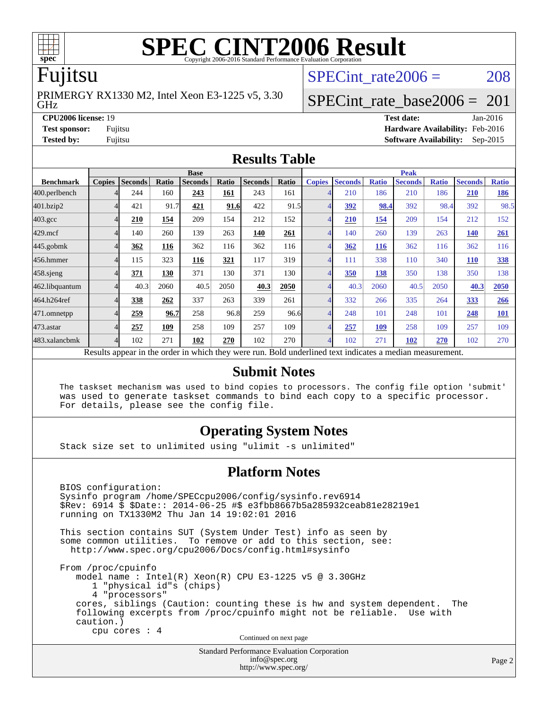

# **[SPEC CINT2006 Result](http://www.spec.org/auto/cpu2006/Docs/result-fields.html#SPECCINT2006Result)**

# Fujitsu

GHz PRIMERGY RX1330 M2, Intel Xeon E3-1225 v5, 3.30 SPECint rate $2006 = 208$ 

# [SPECint\\_rate\\_base2006 =](http://www.spec.org/auto/cpu2006/Docs/result-fields.html#SPECintratebase2006)  $201$

**[CPU2006 license:](http://www.spec.org/auto/cpu2006/Docs/result-fields.html#CPU2006license)** 19 **[Test date:](http://www.spec.org/auto/cpu2006/Docs/result-fields.html#Testdate)** Jan-2016 **[Test sponsor:](http://www.spec.org/auto/cpu2006/Docs/result-fields.html#Testsponsor)** Fujitsu **[Hardware Availability:](http://www.spec.org/auto/cpu2006/Docs/result-fields.html#HardwareAvailability)** Feb-2016

**[Tested by:](http://www.spec.org/auto/cpu2006/Docs/result-fields.html#Testedby)** Fujitsu **[Software Availability:](http://www.spec.org/auto/cpu2006/Docs/result-fields.html#SoftwareAvailability)** Sep-2015

#### **[Results Table](http://www.spec.org/auto/cpu2006/Docs/result-fields.html#ResultsTable)**

|                                                                                                          | <b>Base</b>   |                |       |                |       |                |       |                | <b>Peak</b>    |              |                |              |                |              |  |
|----------------------------------------------------------------------------------------------------------|---------------|----------------|-------|----------------|-------|----------------|-------|----------------|----------------|--------------|----------------|--------------|----------------|--------------|--|
| <b>Benchmark</b>                                                                                         | <b>Copies</b> | <b>Seconds</b> | Ratio | <b>Seconds</b> | Ratio | <b>Seconds</b> | Ratio | <b>Copies</b>  | <b>Seconds</b> | <b>Ratio</b> | <b>Seconds</b> | <b>Ratio</b> | <b>Seconds</b> | <b>Ratio</b> |  |
| 400.perlbench                                                                                            |               | 244            | 160   | 243            | 161   | 243            | 161   |                | 210            | 186          | 210            | 186          | <b>210</b>     | 186          |  |
| 401.bzip2                                                                                                |               | 421            | 91.7  | 421            | 91.6  | 422            | 91.5  | $\overline{4}$ | <u>392</u>     | 98.4         | 392            | 98.4         | 392            | 98.5         |  |
| $403.\mathrm{gcc}$                                                                                       |               | 210            | 154   | 209            | 154   | 212            | 152   | $\overline{4}$ | 210            | 154          | 209            | 154          | 212            | 152          |  |
| $429$ .mcf                                                                                               |               | 140            | 260   | 139            | 263   | 140            | 261   | $\overline{4}$ | 140            | 260          | 139            | 263          | <b>140</b>     | 261          |  |
| $445$ .gobmk                                                                                             |               | 362            | 116   | 362            | 116   | 362            | 116   | $\overline{4}$ | 362            | <b>116</b>   | 362            | 116          | 362            | 116          |  |
| 456.hmmer                                                                                                |               | 115            | 323   | 116            | 321   | 117            | 319   | $\overline{4}$ | 111            | 338          | 110            | 340          | <b>110</b>     | 338          |  |
| 458.sjeng                                                                                                |               | 371            | 130   | 371            | 130   | 371            | 130   | $\overline{4}$ | 350            | 138          | 350            | 138          | 350            | 138          |  |
| 462.libquantum                                                                                           |               | 40.3           | 2060  | 40.5           | 2050  | 40.3           | 2050  | 4              | 40.3           | 2060         | 40.5           | 2050         | 40.3           | 2050         |  |
| 464.h264ref                                                                                              |               | 338            | 262   | 337            | 263   | 339            | 261   | $\overline{4}$ | 332            | 266          | 335            | 264          | 333            | 266          |  |
| 471.omnetpp                                                                                              |               | 259            | 96.7  | 258            | 96.8  | 259            | 96.6  | $\overline{4}$ | 248            | 101          | 248            | 101          | 248            | <b>101</b>   |  |
| 473.astar                                                                                                |               | 257            | 109   | 258            | 109   | 257            | 109   | $\overline{4}$ | 257            | <u>109</u>   | 258            | 109          | 257            | 109          |  |
| 483.xalancbmk                                                                                            | Δ             | 102            | 271   | 102            | 270   | 102            | 270   | $\overline{4}$ | 102            | 271          | 102            | 270          | 102            | 270          |  |
| Results appear in the order in which they were run. Bold underlined text indicates a median measurement. |               |                |       |                |       |                |       |                |                |              |                |              |                |              |  |

#### **[Submit Notes](http://www.spec.org/auto/cpu2006/Docs/result-fields.html#SubmitNotes)**

 The taskset mechanism was used to bind copies to processors. The config file option 'submit' was used to generate taskset commands to bind each copy to a specific processor. For details, please see the config file.

#### **[Operating System Notes](http://www.spec.org/auto/cpu2006/Docs/result-fields.html#OperatingSystemNotes)**

Stack size set to unlimited using "ulimit -s unlimited"

#### **[Platform Notes](http://www.spec.org/auto/cpu2006/Docs/result-fields.html#PlatformNotes)**

Standard Performance Evaluation Corporation BIOS configuration: Sysinfo program /home/SPECcpu2006/config/sysinfo.rev6914 \$Rev: 6914 \$ \$Date:: 2014-06-25 #\$ e3fbb8667b5a285932ceab81e28219e1 running on TX1330M2 Thu Jan 14 19:02:01 2016 This section contains SUT (System Under Test) info as seen by some common utilities. To remove or add to this section, see: <http://www.spec.org/cpu2006/Docs/config.html#sysinfo> From /proc/cpuinfo model name : Intel(R) Xeon(R) CPU E3-1225 v5 @ 3.30GHz 1 "physical id"s (chips) 4 "processors" cores, siblings (Caution: counting these is hw and system dependent. The following excerpts from /proc/cpuinfo might not be reliable. Use with caution.) cpu cores : 4 Continued on next page

[info@spec.org](mailto:info@spec.org) <http://www.spec.org/>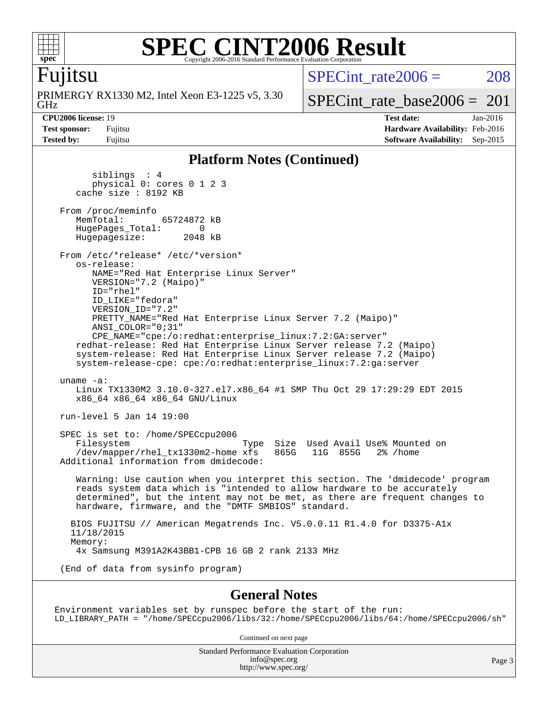

#### **[SPEC CINT2006 Result](http://www.spec.org/auto/cpu2006/Docs/result-fields.html#SPECCINT2006Result)** Copyright 2006-2016 Standard Performance Evaluation C

## Fujitsu

GHz PRIMERGY RX1330 M2, Intel Xeon E3-1225 v5, 3.30 SPECint rate $2006 = 208$ 

[SPECint\\_rate\\_base2006 =](http://www.spec.org/auto/cpu2006/Docs/result-fields.html#SPECintratebase2006)  $201$ 

**[CPU2006 license:](http://www.spec.org/auto/cpu2006/Docs/result-fields.html#CPU2006license)** 19 **[Test date:](http://www.spec.org/auto/cpu2006/Docs/result-fields.html#Testdate)** Jan-2016 **[Test sponsor:](http://www.spec.org/auto/cpu2006/Docs/result-fields.html#Testsponsor)** Fujitsu **[Hardware Availability:](http://www.spec.org/auto/cpu2006/Docs/result-fields.html#HardwareAvailability)** Feb-2016 **[Tested by:](http://www.spec.org/auto/cpu2006/Docs/result-fields.html#Testedby)** Fujitsu **[Software Availability:](http://www.spec.org/auto/cpu2006/Docs/result-fields.html#SoftwareAvailability)** Sep-2015

#### **[Platform Notes \(Continued\)](http://www.spec.org/auto/cpu2006/Docs/result-fields.html#PlatformNotes)**

 siblings : 4 physical 0: cores 0 1 2 3 cache size : 8192 KB From /proc/meminfo<br>MemTotal: 65724872 kB HugePages\_Total: 0<br>Hugepagesize: 2048 kB Hugepagesize: From /etc/\*release\* /etc/\*version\* os-release: NAME="Red Hat Enterprise Linux Server" VERSION="7.2 (Maipo)" ID="rhel" ID\_LIKE="fedora" VERSION\_ID="7.2" PRETTY\_NAME="Red Hat Enterprise Linux Server 7.2 (Maipo)" ANSI\_COLOR="0;31" CPE\_NAME="cpe:/o:redhat:enterprise\_linux:7.2:GA:server" redhat-release: Red Hat Enterprise Linux Server release 7.2 (Maipo) system-release: Red Hat Enterprise Linux Server release 7.2 (Maipo) system-release-cpe: cpe:/o:redhat:enterprise\_linux:7.2:ga:server uname -a: Linux TX1330M2 3.10.0-327.el7.x86\_64 #1 SMP Thu Oct 29 17:29:29 EDT 2015 x86\_64 x86\_64 x86\_64 GNU/Linux run-level 5 Jan 14 19:00 SPEC is set to: /home/SPECcpu2006 Filesystem Type Size Used Avail Use% Mounted on /dev/mapper/rhel\_tx1330m2-home xfs Additional information from dmidecode: Warning: Use caution when you interpret this section. The 'dmidecode' program reads system data which is "intended to allow hardware to be accurately determined", but the intent may not be met, as there are frequent changes to hardware, firmware, and the "DMTF SMBIOS" standard. BIOS FUJITSU // American Megatrends Inc. V5.0.0.11 R1.4.0 for D3375-A1x 11/18/2015 Memory: 4x Samsung M391A2K43BB1-CPB 16 GB 2 rank 2133 MHz (End of data from sysinfo program)

#### **[General Notes](http://www.spec.org/auto/cpu2006/Docs/result-fields.html#GeneralNotes)**

Environment variables set by runspec before the start of the run: LD\_LIBRARY\_PATH = "/home/SPECcpu2006/libs/32:/home/SPECcpu2006/libs/64:/home/SPECcpu2006/sh"

Continued on next page

Standard Performance Evaluation Corporation [info@spec.org](mailto:info@spec.org) <http://www.spec.org/>

Page 3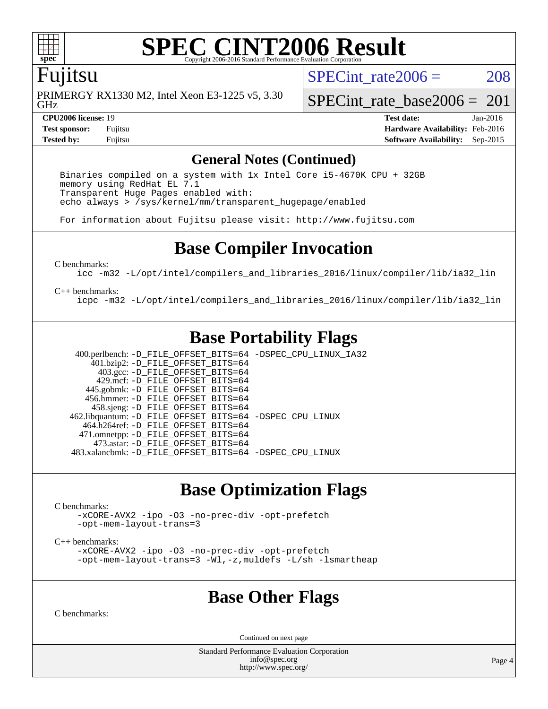

#### **[SPEC CINT2006 Result](http://www.spec.org/auto/cpu2006/Docs/result-fields.html#SPECCINT2006Result)** Copyright 2006-2016 Standard Performance Evaluation

## Fujitsu

GHz PRIMERGY RX1330 M2, Intel Xeon E3-1225 v5, 3.30 SPECint rate $2006 = 208$ 

[SPECint\\_rate\\_base2006 =](http://www.spec.org/auto/cpu2006/Docs/result-fields.html#SPECintratebase2006)  $201$ 

**[CPU2006 license:](http://www.spec.org/auto/cpu2006/Docs/result-fields.html#CPU2006license)** 19 **[Test date:](http://www.spec.org/auto/cpu2006/Docs/result-fields.html#Testdate)** Jan-2016 **[Test sponsor:](http://www.spec.org/auto/cpu2006/Docs/result-fields.html#Testsponsor)** Fujitsu **[Hardware Availability:](http://www.spec.org/auto/cpu2006/Docs/result-fields.html#HardwareAvailability)** Feb-2016 **[Tested by:](http://www.spec.org/auto/cpu2006/Docs/result-fields.html#Testedby)** Fujitsu **[Software Availability:](http://www.spec.org/auto/cpu2006/Docs/result-fields.html#SoftwareAvailability)** Sep-2015

#### **[General Notes \(Continued\)](http://www.spec.org/auto/cpu2006/Docs/result-fields.html#GeneralNotes)**

 Binaries compiled on a system with 1x Intel Core i5-4670K CPU + 32GB memory using RedHat EL 7.1 Transparent Huge Pages enabled with: echo always > /sys/kernel/mm/transparent\_hugepage/enabled

For information about Fujitsu please visit: <http://www.fujitsu.com>

# **[Base Compiler Invocation](http://www.spec.org/auto/cpu2006/Docs/result-fields.html#BaseCompilerInvocation)**

[C benchmarks](http://www.spec.org/auto/cpu2006/Docs/result-fields.html#Cbenchmarks):

[icc -m32 -L/opt/intel/compilers\\_and\\_libraries\\_2016/linux/compiler/lib/ia32\\_lin](http://www.spec.org/cpu2006/results/res2016q1/cpu2006-20160125-38878.flags.html#user_CCbase_intel_icc_e10256ba5924b668798078a321b0cb3f)

#### [C++ benchmarks:](http://www.spec.org/auto/cpu2006/Docs/result-fields.html#CXXbenchmarks)

[icpc -m32 -L/opt/intel/compilers\\_and\\_libraries\\_2016/linux/compiler/lib/ia32\\_lin](http://www.spec.org/cpu2006/results/res2016q1/cpu2006-20160125-38878.flags.html#user_CXXbase_intel_icpc_b4f50a394bdb4597aa5879c16bc3f5c5)

# **[Base Portability Flags](http://www.spec.org/auto/cpu2006/Docs/result-fields.html#BasePortabilityFlags)**

 400.perlbench: [-D\\_FILE\\_OFFSET\\_BITS=64](http://www.spec.org/cpu2006/results/res2016q1/cpu2006-20160125-38878.flags.html#user_basePORTABILITY400_perlbench_file_offset_bits_64_438cf9856305ebd76870a2c6dc2689ab) [-DSPEC\\_CPU\\_LINUX\\_IA32](http://www.spec.org/cpu2006/results/res2016q1/cpu2006-20160125-38878.flags.html#b400.perlbench_baseCPORTABILITY_DSPEC_CPU_LINUX_IA32) 401.bzip2: [-D\\_FILE\\_OFFSET\\_BITS=64](http://www.spec.org/cpu2006/results/res2016q1/cpu2006-20160125-38878.flags.html#user_basePORTABILITY401_bzip2_file_offset_bits_64_438cf9856305ebd76870a2c6dc2689ab) 403.gcc: [-D\\_FILE\\_OFFSET\\_BITS=64](http://www.spec.org/cpu2006/results/res2016q1/cpu2006-20160125-38878.flags.html#user_basePORTABILITY403_gcc_file_offset_bits_64_438cf9856305ebd76870a2c6dc2689ab) 429.mcf: [-D\\_FILE\\_OFFSET\\_BITS=64](http://www.spec.org/cpu2006/results/res2016q1/cpu2006-20160125-38878.flags.html#user_basePORTABILITY429_mcf_file_offset_bits_64_438cf9856305ebd76870a2c6dc2689ab) 445.gobmk: [-D\\_FILE\\_OFFSET\\_BITS=64](http://www.spec.org/cpu2006/results/res2016q1/cpu2006-20160125-38878.flags.html#user_basePORTABILITY445_gobmk_file_offset_bits_64_438cf9856305ebd76870a2c6dc2689ab) 456.hmmer: [-D\\_FILE\\_OFFSET\\_BITS=64](http://www.spec.org/cpu2006/results/res2016q1/cpu2006-20160125-38878.flags.html#user_basePORTABILITY456_hmmer_file_offset_bits_64_438cf9856305ebd76870a2c6dc2689ab) 458.sjeng: [-D\\_FILE\\_OFFSET\\_BITS=64](http://www.spec.org/cpu2006/results/res2016q1/cpu2006-20160125-38878.flags.html#user_basePORTABILITY458_sjeng_file_offset_bits_64_438cf9856305ebd76870a2c6dc2689ab) 462.libquantum: [-D\\_FILE\\_OFFSET\\_BITS=64](http://www.spec.org/cpu2006/results/res2016q1/cpu2006-20160125-38878.flags.html#user_basePORTABILITY462_libquantum_file_offset_bits_64_438cf9856305ebd76870a2c6dc2689ab) [-DSPEC\\_CPU\\_LINUX](http://www.spec.org/cpu2006/results/res2016q1/cpu2006-20160125-38878.flags.html#b462.libquantum_baseCPORTABILITY_DSPEC_CPU_LINUX) 464.h264ref: [-D\\_FILE\\_OFFSET\\_BITS=64](http://www.spec.org/cpu2006/results/res2016q1/cpu2006-20160125-38878.flags.html#user_basePORTABILITY464_h264ref_file_offset_bits_64_438cf9856305ebd76870a2c6dc2689ab) 471.omnetpp: [-D\\_FILE\\_OFFSET\\_BITS=64](http://www.spec.org/cpu2006/results/res2016q1/cpu2006-20160125-38878.flags.html#user_basePORTABILITY471_omnetpp_file_offset_bits_64_438cf9856305ebd76870a2c6dc2689ab) 473.astar: [-D\\_FILE\\_OFFSET\\_BITS=64](http://www.spec.org/cpu2006/results/res2016q1/cpu2006-20160125-38878.flags.html#user_basePORTABILITY473_astar_file_offset_bits_64_438cf9856305ebd76870a2c6dc2689ab) 483.xalancbmk: [-D\\_FILE\\_OFFSET\\_BITS=64](http://www.spec.org/cpu2006/results/res2016q1/cpu2006-20160125-38878.flags.html#user_basePORTABILITY483_xalancbmk_file_offset_bits_64_438cf9856305ebd76870a2c6dc2689ab) [-DSPEC\\_CPU\\_LINUX](http://www.spec.org/cpu2006/results/res2016q1/cpu2006-20160125-38878.flags.html#b483.xalancbmk_baseCXXPORTABILITY_DSPEC_CPU_LINUX)

# **[Base Optimization Flags](http://www.spec.org/auto/cpu2006/Docs/result-fields.html#BaseOptimizationFlags)**

[C benchmarks](http://www.spec.org/auto/cpu2006/Docs/result-fields.html#Cbenchmarks):

[-xCORE-AVX2](http://www.spec.org/cpu2006/results/res2016q1/cpu2006-20160125-38878.flags.html#user_CCbase_f-xAVX2_5f5fc0cbe2c9f62c816d3e45806c70d7) [-ipo](http://www.spec.org/cpu2006/results/res2016q1/cpu2006-20160125-38878.flags.html#user_CCbase_f-ipo) [-O3](http://www.spec.org/cpu2006/results/res2016q1/cpu2006-20160125-38878.flags.html#user_CCbase_f-O3) [-no-prec-div](http://www.spec.org/cpu2006/results/res2016q1/cpu2006-20160125-38878.flags.html#user_CCbase_f-no-prec-div) [-opt-prefetch](http://www.spec.org/cpu2006/results/res2016q1/cpu2006-20160125-38878.flags.html#user_CCbase_f-opt-prefetch) [-opt-mem-layout-trans=3](http://www.spec.org/cpu2006/results/res2016q1/cpu2006-20160125-38878.flags.html#user_CCbase_f-opt-mem-layout-trans_a7b82ad4bd7abf52556d4961a2ae94d5)

[C++ benchmarks:](http://www.spec.org/auto/cpu2006/Docs/result-fields.html#CXXbenchmarks)

[-xCORE-AVX2](http://www.spec.org/cpu2006/results/res2016q1/cpu2006-20160125-38878.flags.html#user_CXXbase_f-xAVX2_5f5fc0cbe2c9f62c816d3e45806c70d7) [-ipo](http://www.spec.org/cpu2006/results/res2016q1/cpu2006-20160125-38878.flags.html#user_CXXbase_f-ipo) [-O3](http://www.spec.org/cpu2006/results/res2016q1/cpu2006-20160125-38878.flags.html#user_CXXbase_f-O3) [-no-prec-div](http://www.spec.org/cpu2006/results/res2016q1/cpu2006-20160125-38878.flags.html#user_CXXbase_f-no-prec-div) [-opt-prefetch](http://www.spec.org/cpu2006/results/res2016q1/cpu2006-20160125-38878.flags.html#user_CXXbase_f-opt-prefetch) [-opt-mem-layout-trans=3](http://www.spec.org/cpu2006/results/res2016q1/cpu2006-20160125-38878.flags.html#user_CXXbase_f-opt-mem-layout-trans_a7b82ad4bd7abf52556d4961a2ae94d5) [-Wl,-z,muldefs](http://www.spec.org/cpu2006/results/res2016q1/cpu2006-20160125-38878.flags.html#user_CXXbase_link_force_multiple1_74079c344b956b9658436fd1b6dd3a8a) [-L/sh -lsmartheap](http://www.spec.org/cpu2006/results/res2016q1/cpu2006-20160125-38878.flags.html#user_CXXbase_SmartHeap_32f6c82aa1ed9c52345d30cf6e4a0499)

## **[Base Other Flags](http://www.spec.org/auto/cpu2006/Docs/result-fields.html#BaseOtherFlags)**

[C benchmarks](http://www.spec.org/auto/cpu2006/Docs/result-fields.html#Cbenchmarks):

Continued on next page

Standard Performance Evaluation Corporation [info@spec.org](mailto:info@spec.org) <http://www.spec.org/>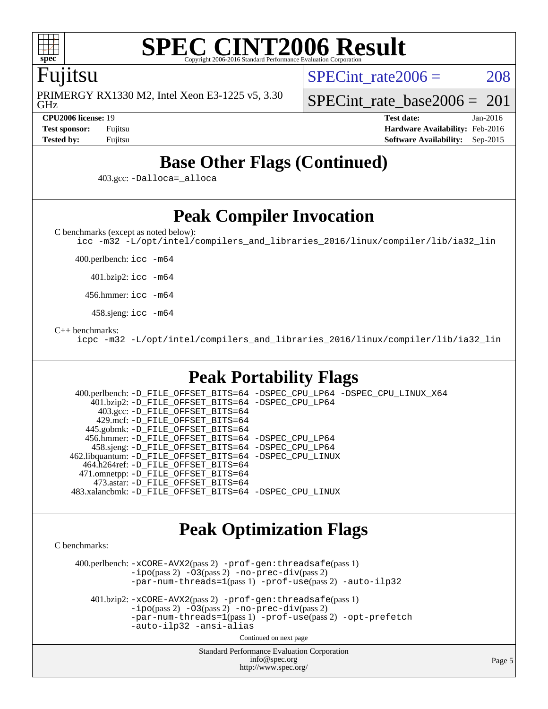

# **[SPEC CINT2006 Result](http://www.spec.org/auto/cpu2006/Docs/result-fields.html#SPECCINT2006Result)**

## Fujitsu

GHz PRIMERGY RX1330 M2, Intel Xeon E3-1225 v5, 3.30 SPECint rate $2006 = 208$ 

[SPECint\\_rate\\_base2006 =](http://www.spec.org/auto/cpu2006/Docs/result-fields.html#SPECintratebase2006)  $201$ **[CPU2006 license:](http://www.spec.org/auto/cpu2006/Docs/result-fields.html#CPU2006license)** 19 **[Test date:](http://www.spec.org/auto/cpu2006/Docs/result-fields.html#Testdate)** Jan-2016

**[Test sponsor:](http://www.spec.org/auto/cpu2006/Docs/result-fields.html#Testsponsor)** Fujitsu **[Hardware Availability:](http://www.spec.org/auto/cpu2006/Docs/result-fields.html#HardwareAvailability)** Feb-2016 **[Tested by:](http://www.spec.org/auto/cpu2006/Docs/result-fields.html#Testedby)** Fujitsu **[Software Availability:](http://www.spec.org/auto/cpu2006/Docs/result-fields.html#SoftwareAvailability)** Sep-2015

# **[Base Other Flags \(Continued\)](http://www.spec.org/auto/cpu2006/Docs/result-fields.html#BaseOtherFlags)**

403.gcc: [-Dalloca=\\_alloca](http://www.spec.org/cpu2006/results/res2016q1/cpu2006-20160125-38878.flags.html#b403.gcc_baseEXTRA_CFLAGS_Dalloca_be3056838c12de2578596ca5467af7f3)

# **[Peak Compiler Invocation](http://www.spec.org/auto/cpu2006/Docs/result-fields.html#PeakCompilerInvocation)**

[C benchmarks \(except as noted below\)](http://www.spec.org/auto/cpu2006/Docs/result-fields.html#Cbenchmarksexceptasnotedbelow):

[icc -m32 -L/opt/intel/compilers\\_and\\_libraries\\_2016/linux/compiler/lib/ia32\\_lin](http://www.spec.org/cpu2006/results/res2016q1/cpu2006-20160125-38878.flags.html#user_CCpeak_intel_icc_e10256ba5924b668798078a321b0cb3f)

400.perlbench: [icc -m64](http://www.spec.org/cpu2006/results/res2016q1/cpu2006-20160125-38878.flags.html#user_peakCCLD400_perlbench_intel_icc_64bit_bda6cc9af1fdbb0edc3795bac97ada53)

401.bzip2: [icc -m64](http://www.spec.org/cpu2006/results/res2016q1/cpu2006-20160125-38878.flags.html#user_peakCCLD401_bzip2_intel_icc_64bit_bda6cc9af1fdbb0edc3795bac97ada53)

456.hmmer: [icc -m64](http://www.spec.org/cpu2006/results/res2016q1/cpu2006-20160125-38878.flags.html#user_peakCCLD456_hmmer_intel_icc_64bit_bda6cc9af1fdbb0edc3795bac97ada53)

458.sjeng: [icc -m64](http://www.spec.org/cpu2006/results/res2016q1/cpu2006-20160125-38878.flags.html#user_peakCCLD458_sjeng_intel_icc_64bit_bda6cc9af1fdbb0edc3795bac97ada53)

[C++ benchmarks:](http://www.spec.org/auto/cpu2006/Docs/result-fields.html#CXXbenchmarks)

[icpc -m32 -L/opt/intel/compilers\\_and\\_libraries\\_2016/linux/compiler/lib/ia32\\_lin](http://www.spec.org/cpu2006/results/res2016q1/cpu2006-20160125-38878.flags.html#user_CXXpeak_intel_icpc_b4f50a394bdb4597aa5879c16bc3f5c5)

# **[Peak Portability Flags](http://www.spec.org/auto/cpu2006/Docs/result-fields.html#PeakPortabilityFlags)**

 400.perlbench: [-D\\_FILE\\_OFFSET\\_BITS=64](http://www.spec.org/cpu2006/results/res2016q1/cpu2006-20160125-38878.flags.html#user_peakPORTABILITY400_perlbench_file_offset_bits_64_438cf9856305ebd76870a2c6dc2689ab) [-DSPEC\\_CPU\\_LP64](http://www.spec.org/cpu2006/results/res2016q1/cpu2006-20160125-38878.flags.html#b400.perlbench_peakCPORTABILITY_DSPEC_CPU_LP64) [-DSPEC\\_CPU\\_LINUX\\_X64](http://www.spec.org/cpu2006/results/res2016q1/cpu2006-20160125-38878.flags.html#b400.perlbench_peakCPORTABILITY_DSPEC_CPU_LINUX_X64) 401.bzip2: [-D\\_FILE\\_OFFSET\\_BITS=64](http://www.spec.org/cpu2006/results/res2016q1/cpu2006-20160125-38878.flags.html#user_peakPORTABILITY401_bzip2_file_offset_bits_64_438cf9856305ebd76870a2c6dc2689ab) [-DSPEC\\_CPU\\_LP64](http://www.spec.org/cpu2006/results/res2016q1/cpu2006-20160125-38878.flags.html#suite_peakCPORTABILITY401_bzip2_DSPEC_CPU_LP64) 403.gcc: [-D\\_FILE\\_OFFSET\\_BITS=64](http://www.spec.org/cpu2006/results/res2016q1/cpu2006-20160125-38878.flags.html#user_peakPORTABILITY403_gcc_file_offset_bits_64_438cf9856305ebd76870a2c6dc2689ab) 429.mcf: [-D\\_FILE\\_OFFSET\\_BITS=64](http://www.spec.org/cpu2006/results/res2016q1/cpu2006-20160125-38878.flags.html#user_peakPORTABILITY429_mcf_file_offset_bits_64_438cf9856305ebd76870a2c6dc2689ab) 445.gobmk: [-D\\_FILE\\_OFFSET\\_BITS=64](http://www.spec.org/cpu2006/results/res2016q1/cpu2006-20160125-38878.flags.html#user_peakPORTABILITY445_gobmk_file_offset_bits_64_438cf9856305ebd76870a2c6dc2689ab) 456.hmmer: [-D\\_FILE\\_OFFSET\\_BITS=64](http://www.spec.org/cpu2006/results/res2016q1/cpu2006-20160125-38878.flags.html#user_peakPORTABILITY456_hmmer_file_offset_bits_64_438cf9856305ebd76870a2c6dc2689ab) [-DSPEC\\_CPU\\_LP64](http://www.spec.org/cpu2006/results/res2016q1/cpu2006-20160125-38878.flags.html#suite_peakCPORTABILITY456_hmmer_DSPEC_CPU_LP64) 458.sjeng: [-D\\_FILE\\_OFFSET\\_BITS=64](http://www.spec.org/cpu2006/results/res2016q1/cpu2006-20160125-38878.flags.html#user_peakPORTABILITY458_sjeng_file_offset_bits_64_438cf9856305ebd76870a2c6dc2689ab) [-DSPEC\\_CPU\\_LP64](http://www.spec.org/cpu2006/results/res2016q1/cpu2006-20160125-38878.flags.html#suite_peakCPORTABILITY458_sjeng_DSPEC_CPU_LP64) 462.libquantum: [-D\\_FILE\\_OFFSET\\_BITS=64](http://www.spec.org/cpu2006/results/res2016q1/cpu2006-20160125-38878.flags.html#user_peakPORTABILITY462_libquantum_file_offset_bits_64_438cf9856305ebd76870a2c6dc2689ab) [-DSPEC\\_CPU\\_LINUX](http://www.spec.org/cpu2006/results/res2016q1/cpu2006-20160125-38878.flags.html#b462.libquantum_peakCPORTABILITY_DSPEC_CPU_LINUX) 464.h264ref: [-D\\_FILE\\_OFFSET\\_BITS=64](http://www.spec.org/cpu2006/results/res2016q1/cpu2006-20160125-38878.flags.html#user_peakPORTABILITY464_h264ref_file_offset_bits_64_438cf9856305ebd76870a2c6dc2689ab) 471.omnetpp: [-D\\_FILE\\_OFFSET\\_BITS=64](http://www.spec.org/cpu2006/results/res2016q1/cpu2006-20160125-38878.flags.html#user_peakPORTABILITY471_omnetpp_file_offset_bits_64_438cf9856305ebd76870a2c6dc2689ab) 473.astar: [-D\\_FILE\\_OFFSET\\_BITS=64](http://www.spec.org/cpu2006/results/res2016q1/cpu2006-20160125-38878.flags.html#user_peakPORTABILITY473_astar_file_offset_bits_64_438cf9856305ebd76870a2c6dc2689ab) 483.xalancbmk: [-D\\_FILE\\_OFFSET\\_BITS=64](http://www.spec.org/cpu2006/results/res2016q1/cpu2006-20160125-38878.flags.html#user_peakPORTABILITY483_xalancbmk_file_offset_bits_64_438cf9856305ebd76870a2c6dc2689ab) [-DSPEC\\_CPU\\_LINUX](http://www.spec.org/cpu2006/results/res2016q1/cpu2006-20160125-38878.flags.html#b483.xalancbmk_peakCXXPORTABILITY_DSPEC_CPU_LINUX)

# **[Peak Optimization Flags](http://www.spec.org/auto/cpu2006/Docs/result-fields.html#PeakOptimizationFlags)**

[C benchmarks](http://www.spec.org/auto/cpu2006/Docs/result-fields.html#Cbenchmarks):

 400.perlbench: [-xCORE-AVX2](http://www.spec.org/cpu2006/results/res2016q1/cpu2006-20160125-38878.flags.html#user_peakPASS2_CFLAGSPASS2_LDCFLAGS400_perlbench_f-xAVX2_5f5fc0cbe2c9f62c816d3e45806c70d7)(pass 2) [-prof-gen:threadsafe](http://www.spec.org/cpu2006/results/res2016q1/cpu2006-20160125-38878.flags.html#user_peakPASS1_CFLAGSPASS1_LDCFLAGS400_perlbench_prof_gen_21a26eb79f378b550acd7bec9fe4467a)(pass 1)  $-i\text{po}(pass 2) -\tilde{O}3(pass 2)$  [-no-prec-div](http://www.spec.org/cpu2006/results/res2016q1/cpu2006-20160125-38878.flags.html#user_peakPASS2_CFLAGSPASS2_LDCFLAGS400_perlbench_f-no-prec-div)(pass 2) [-par-num-threads=1](http://www.spec.org/cpu2006/results/res2016q1/cpu2006-20160125-38878.flags.html#user_peakPASS1_CFLAGSPASS1_LDCFLAGS400_perlbench_par_num_threads_786a6ff141b4e9e90432e998842df6c2)(pass 1) [-prof-use](http://www.spec.org/cpu2006/results/res2016q1/cpu2006-20160125-38878.flags.html#user_peakPASS2_CFLAGSPASS2_LDCFLAGS400_perlbench_prof_use_bccf7792157ff70d64e32fe3e1250b55)(pass 2) [-auto-ilp32](http://www.spec.org/cpu2006/results/res2016q1/cpu2006-20160125-38878.flags.html#user_peakCOPTIMIZE400_perlbench_f-auto-ilp32)

 401.bzip2: [-xCORE-AVX2](http://www.spec.org/cpu2006/results/res2016q1/cpu2006-20160125-38878.flags.html#user_peakPASS2_CFLAGSPASS2_LDCFLAGS401_bzip2_f-xAVX2_5f5fc0cbe2c9f62c816d3e45806c70d7)(pass 2) [-prof-gen:threadsafe](http://www.spec.org/cpu2006/results/res2016q1/cpu2006-20160125-38878.flags.html#user_peakPASS1_CFLAGSPASS1_LDCFLAGS401_bzip2_prof_gen_21a26eb79f378b550acd7bec9fe4467a)(pass 1) [-ipo](http://www.spec.org/cpu2006/results/res2016q1/cpu2006-20160125-38878.flags.html#user_peakPASS2_CFLAGSPASS2_LDCFLAGS401_bzip2_f-ipo)(pass 2) [-O3](http://www.spec.org/cpu2006/results/res2016q1/cpu2006-20160125-38878.flags.html#user_peakPASS2_CFLAGSPASS2_LDCFLAGS401_bzip2_f-O3)(pass 2) [-no-prec-div](http://www.spec.org/cpu2006/results/res2016q1/cpu2006-20160125-38878.flags.html#user_peakPASS2_CFLAGSPASS2_LDCFLAGS401_bzip2_f-no-prec-div)(pass 2) [-par-num-threads=1](http://www.spec.org/cpu2006/results/res2016q1/cpu2006-20160125-38878.flags.html#user_peakPASS1_CFLAGSPASS1_LDCFLAGS401_bzip2_par_num_threads_786a6ff141b4e9e90432e998842df6c2)(pass 1) [-prof-use](http://www.spec.org/cpu2006/results/res2016q1/cpu2006-20160125-38878.flags.html#user_peakPASS2_CFLAGSPASS2_LDCFLAGS401_bzip2_prof_use_bccf7792157ff70d64e32fe3e1250b55)(pass 2) [-opt-prefetch](http://www.spec.org/cpu2006/results/res2016q1/cpu2006-20160125-38878.flags.html#user_peakCOPTIMIZE401_bzip2_f-opt-prefetch) [-auto-ilp32](http://www.spec.org/cpu2006/results/res2016q1/cpu2006-20160125-38878.flags.html#user_peakCOPTIMIZE401_bzip2_f-auto-ilp32) [-ansi-alias](http://www.spec.org/cpu2006/results/res2016q1/cpu2006-20160125-38878.flags.html#user_peakCOPTIMIZE401_bzip2_f-ansi-alias)

Continued on next page

Standard Performance Evaluation Corporation [info@spec.org](mailto:info@spec.org) <http://www.spec.org/>

Page 5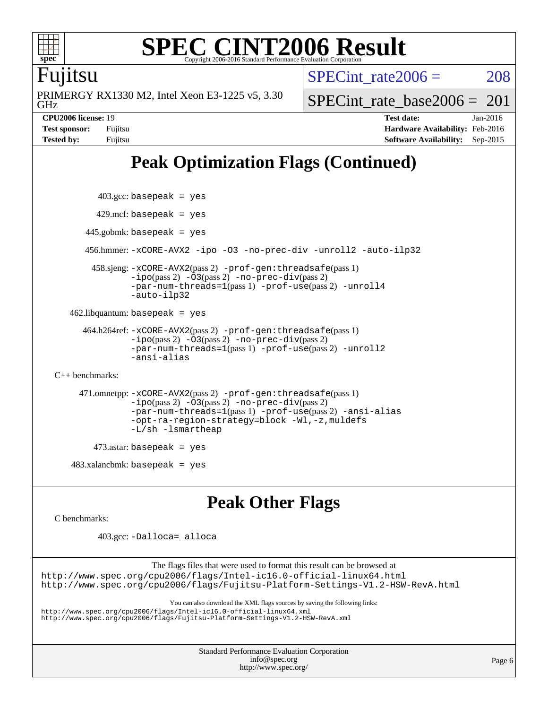

#### **[SPEC CINT2006 Result](http://www.spec.org/auto/cpu2006/Docs/result-fields.html#SPECCINT2006Result)** Copyright 2006-2016 Standard Performance Evaluation C

### Fujitsu

GHz PRIMERGY RX1330 M2, Intel Xeon E3-1225 v5, 3.30 SPECint rate $2006 = 208$ 

[SPECint\\_rate\\_base2006 =](http://www.spec.org/auto/cpu2006/Docs/result-fields.html#SPECintratebase2006)  $201$ 

**[CPU2006 license:](http://www.spec.org/auto/cpu2006/Docs/result-fields.html#CPU2006license)** 19 **[Test date:](http://www.spec.org/auto/cpu2006/Docs/result-fields.html#Testdate)** Jan-2016 **[Test sponsor:](http://www.spec.org/auto/cpu2006/Docs/result-fields.html#Testsponsor)** Fujitsu **[Hardware Availability:](http://www.spec.org/auto/cpu2006/Docs/result-fields.html#HardwareAvailability)** Feb-2016 **[Tested by:](http://www.spec.org/auto/cpu2006/Docs/result-fields.html#Testedby)** Fujitsu **[Software Availability:](http://www.spec.org/auto/cpu2006/Docs/result-fields.html#SoftwareAvailability)** Sep-2015

# **[Peak Optimization Flags \(Continued\)](http://www.spec.org/auto/cpu2006/Docs/result-fields.html#PeakOptimizationFlags)**

```
 403.gcc: basepeak = yes
     429.mcf: basepeak = yes
    445.gobmk: basepeak = yes
    456.hmmer: -xCORE-AVX2 -ipo -O3 -no-prec-div -unroll2 -auto-ilp32
     458.sjeng: -xCORE-AVX2(pass 2) -prof-gen:threadsafe(pass 1)
             -ipo(pass 2) -O3(pass 2) -no-prec-div(pass 2)
             -par-num-threads=1(pass 1) -prof-use(pass 2) -unroll4
             -auto-ilp32
462.libquantum: basepeak = yes
   464.h264ref: -xCORE-AVX2(pass 2) -prof-gen:threadsafe(pass 1)
             -ipo(pass 2) -O3(pass 2) -no-prec-div(pass 2)
             -par-num-threads=1(pass 1) -prof-use(pass 2) -unroll2
```

```
-ansi-alias
```
[C++ benchmarks:](http://www.spec.org/auto/cpu2006/Docs/result-fields.html#CXXbenchmarks)

```
 471.omnetpp: -xCORE-AVX2(pass 2) -prof-gen:threadsafe(pass 1)
          -ipo(pass 2) -03(pass 2) -no-prec-div(pass 2)-par-num-threads=1(pass 1) -prof-use(pass 2) -ansi-alias
           -opt-ra-region-strategy=block -Wl,-z,muldefs
           -L/sh -lsmartheap
```

```
473.astar: basepeak = yes
```

```
483.xalanchmk: basepeak = yes
```
# **[Peak Other Flags](http://www.spec.org/auto/cpu2006/Docs/result-fields.html#PeakOtherFlags)**

[C benchmarks](http://www.spec.org/auto/cpu2006/Docs/result-fields.html#Cbenchmarks):

403.gcc: [-Dalloca=\\_alloca](http://www.spec.org/cpu2006/results/res2016q1/cpu2006-20160125-38878.flags.html#b403.gcc_peakEXTRA_CFLAGS_Dalloca_be3056838c12de2578596ca5467af7f3)

The flags files that were used to format this result can be browsed at

<http://www.spec.org/cpu2006/flags/Intel-ic16.0-official-linux64.html> <http://www.spec.org/cpu2006/flags/Fujitsu-Platform-Settings-V1.2-HSW-RevA.html>

You can also download the XML flags sources by saving the following links:

<http://www.spec.org/cpu2006/flags/Intel-ic16.0-official-linux64.xml> <http://www.spec.org/cpu2006/flags/Fujitsu-Platform-Settings-V1.2-HSW-RevA.xml>

> Standard Performance Evaluation Corporation [info@spec.org](mailto:info@spec.org) <http://www.spec.org/>